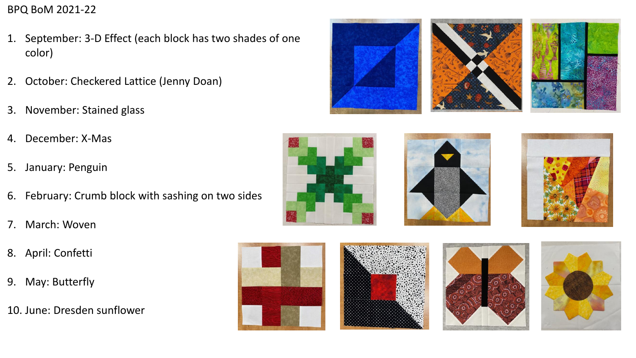## BPQ BoM 2021-22

- 1. September: 3-D Effect (each block has two shades of one color)
- 2. October: Checkered Lattice (Jenny Doan)
- 3. November: Stained glass
- 4. December: X-Mas
- 5. January: Penguin
- 6. February: Crumb block with sashing on two sides
- 7. March: Woven
- 8. April: Confetti
- 9. May: Butterfly
- 10. June: Dresden sunflower